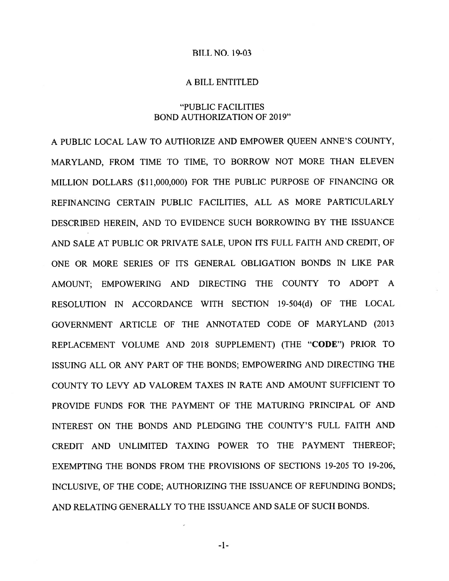### BILL NO. 19-03

#### A BILL ENTITLED

### "PUBLIC FACILITIES BOND AUTHORIZATION OF 2019"

A PUBLIC LOCAL LAW TO AUTHORIZE AND EMPOWER QUEEN ANNE'S COUNTY, MARYLAND, FROM TIME TO TIME, TO BORROW NOT MORE THAN ELEVEN MILLION DOLLARS (\$11,000,000) FOR THE PUBLIC PURPOSE OF FINANCING OR REFINANCING CERTAIN PUBLIC FACILITIES, ALL AS MORE PARTICULARLY DESCRIBED HEREIN, AND TO EVIDENCE SUCH BORROWING BY THE ISSUANCE AND SALE AT PUBLIC OR PRIVATE SALE, UPON ITS FULL FAITH AND CREDIT, OF ONE OR MORE SERIES OF ITS GENERAL OBLIGATION BONDS IN LIKE PAR AMOUNT; EMPOWERING AND DIRECTING THE COUNTY TO ADOPT A RESOLUTION IN ACCORDANCE WITH SECTION 19-504(d) OF THE LOCAL GOVERNMENT ARTICLE OF THE ANNOTATED CODE OF MARYLAND (2013 REPLACEMENT VOLUME AND 2018 SUPPLEMENT) (THE "CODE") PRIOR TO ISSUING ALL OR ANY PART OF THE BONDS; EMPOWERING AND DIRECTING THE COUNTY TO LEVY AD VALOREM TAXES IN RATE AND AMOUNT SUFFICIENT TO PROVIDE FUNDS FOR THE PAYMENT OF THE MATURING PRINCIPAL OF AND INTEREST ON THE BONDS AND PLEDGING THE COUNTY'S FULL FAITH AND CREDIT AND UNLIMITED TAXING POWER TO THE PAYMENT THEREOF; EXEMPTING THE BONDS FROM THE PROVISIONS OF SECTIONS 19-205 TO 19-206, INCLUSIVE, OF THE CODE; AUTHORIZING THE ISSUANCE OF REFUNDING BONDS; AND RELATING GENERALLY TO THE ISSUANCE AND SALE OF SUCH BONDS.

—1—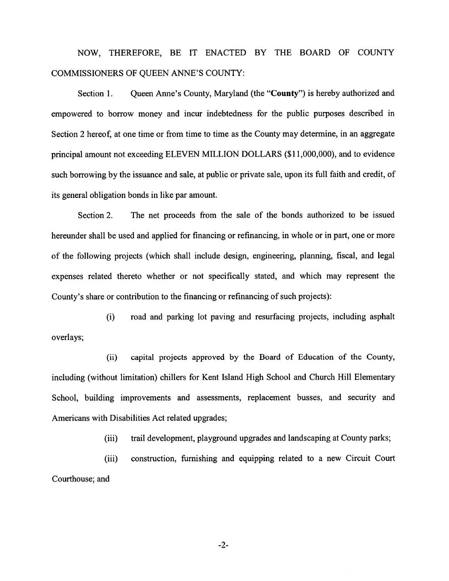NOW, THEREFORE, BE IT ENACTED BY THE BOARD OF COUNTY COMMISSIONERS OF QUEEN ANNE'S COUNTY:

Section 1. Oueen Anne's County, Maryland (the "County") is hereby authorized and empowered to borrow money and incur indebtedness for the public purposes described in Section 2 hereof, at one time or from time to time as the County may determine, in an aggregate principal amount not exceeding ELEVEN MILLION DOLLARS (\$ 11,000,000), and to evidence such borrowing by the issuance and sale, at public or private sale, upon its full faith and credit, of its general obligation bonds in like par amount.

Section 2. The net proceeds from the sale of the bonds authorized to be issued hereunder shall be used and applied for financing or refinancing, in whole or in part, one or more of the following projects (which shall include design, engineering, <sup>p</sup>lanning, fiscal, and legal expenses related thereto whether or not specifically stated, and which may represen<sup>t</sup> the County's share or contribution to the financing or refinancing of such projects):

(i) road and parking lot paving and resurfacing projects, including asphalt overlays;

(ii) capital projects approved by the Board of Education of the County, including (without limitation) chillers for Kent Island High School and Church Hill Elementary School, building improvements and assessments, replacement busses, and security and Americans with Disabilities Act related upgrades;

(iii) trail development, playground upgrades and landscaping at County parks;

(iii) construction, furnishing and equipping related to <sup>a</sup> new Circuit Court Courthouse; and

-2-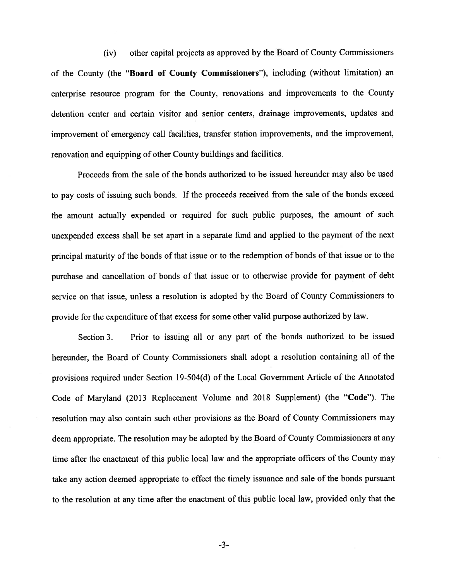(iv) other capital projects as approved by the Board of County Commissioners of the County (the "Board of County Commissioners"), including (without limitation) an enterprise resource program for the County, renovations and improvements to the County detention center and certain visitor and senior centers, drainage improvements, updates and improvement of emergency call facilities, transfer station improvements, and the improvement, renovation and equipping of other County buildings and facilities.

Proceeds from the sale of the bonds authorized to be issued hereunder may also be used to pay costs of issuing such bonds. If the proceeds received from the sale of the bonds exceed the amount actually expended or required for such public purposes, the amount of such unexpended excess shall be set apar<sup>t</sup> in <sup>a</sup> separate fund and applied to the paymen<sup>t</sup> of the next principal maturity of the bonds of that issue or to the redemption of bonds of that issue or to the purchase and cancellation of bonds of that issue or to otherwise provide for paymen<sup>t</sup> of debt service on that issue, unless <sup>a</sup> resolution is adopted by the Board of County Commissioners to provide for the expenditure of that excess for some other valid purpose authorized by law.

Section 3. Prior to issuing all or any par<sup>t</sup> of the bonds authorized to be issued hereunder, the Board of County Commissioners shall adopt <sup>a</sup> resolution containing all of the provisions required under Section 19-504(d) of the Local Government Article of the Annotated Code of Maryland (2013 Replacement Volume and <sup>2018</sup> Supplement) (the "Code"). The resolution may also contain such other provisions as the Board of County Commissioners may deem appropriate. The resolution may be adopted by the Board of County Commissioners at any time after the enactment of this public local law and the appropriate officers of the County may take any action deemed appropriate to effect the timely issuance and sale of the bonds pursuan<sup>t</sup> to the resolution at any time after the enactment of this public local law, provided only that the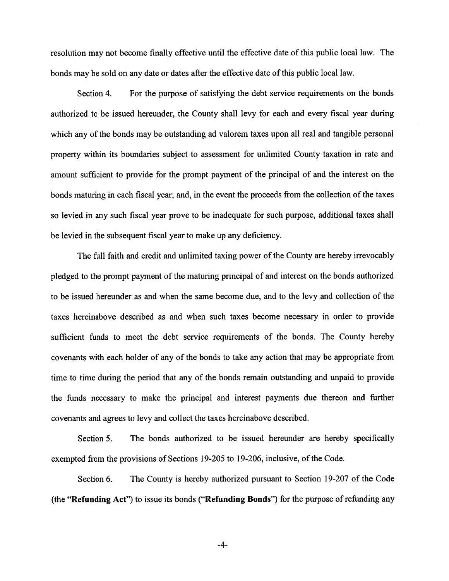resolution may not become finally effective until the effective date of this public local law. The bonds may be sold on any date or dates after the effective date of this public local law.

Section 4. For the purpose of satisfying the debt service requirements on the bonds authorized to be issued hereunder, the County shall levy for each and every fiscal year during which any of the bonds may be outstanding ad valorem taxes upon all real and tangible personal property within its boundaries subject to assessment for unlimited County taxation in rate and amount sufficient to provide for the promp<sup>t</sup> paymen<sup>t</sup> of the principal of and the interest on the bonds maturing in each fiscal year; and, in the event the proceeds from the collection of the taxes so levied in any such fiscal year prove to be inadequate for such purpose, additional taxes shall be levied in the subsequent fiscal year to make up any deficiency.

The full faith and credit and unlimited taxing power of the County are hereby irrevocably pledged to the promp<sup>t</sup> paymen<sup>t</sup> of the maturing principal of and interest on the bonds authorized to be issued hereunder as and when the same become due, and to the levy and collection of the taxes hereinabove described as and when such taxes become necessary in order to provide sufficient funds to meet the debt service requirements of the bonds. The County hereby covenants with each holder of any of the bonds to take any action that may be appropriate from time to time during the period that any of the bonds remain outstanding and unpaid to provide the funds necessary to make the principal and interest payments due thereon and further covenants and agrees to levy and collect the taxes hereinabove described.

Section 5. The bonds authorized to be issued hereunder are hereby specifically exempted from the provisions of Sections 19-205 to 19-206, inclusive, of the Code.

Section 6. The County is hereby authorized pursuan<sup>t</sup> to Section 19-207 of the Code (the "Refunding Act") to issue its bonds ("Refunding Bonds") for the purpose of refunding any

-4-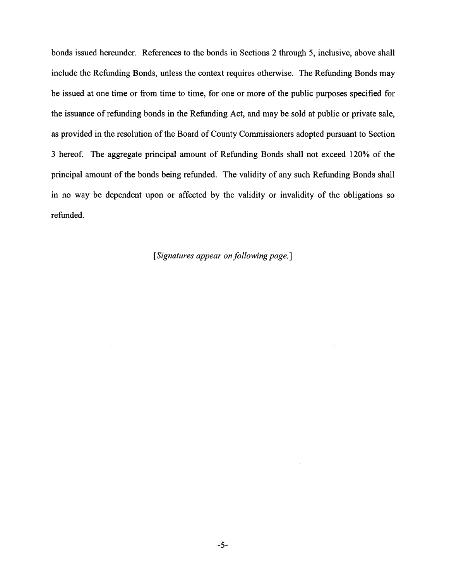bonds issued hereunder. References to the bonds in Sections 2 through 5, inclusive, above shall include the Refunding Bonds, unless the context requires otherwise. The Refunding Bonds may be issued at one time or from time to time, for one or more of the public purposes specified for the issuance of refunding bonds in the Refunding Act, and may be sold at public or private sale, as provided in the resolution of the Board of County Commissioners adopted pursuan<sup>t</sup> to Section 3 hereof. The aggregate principal amount of Refunding Bonds shall not exceed 120% of the principal amount of the bonds being refunded. The validity of any such Refunding Bonds shall in no way be dependent upon or affected by the validity or invalidity of the obligations so refunded.

## [Signatures appear on following page.]